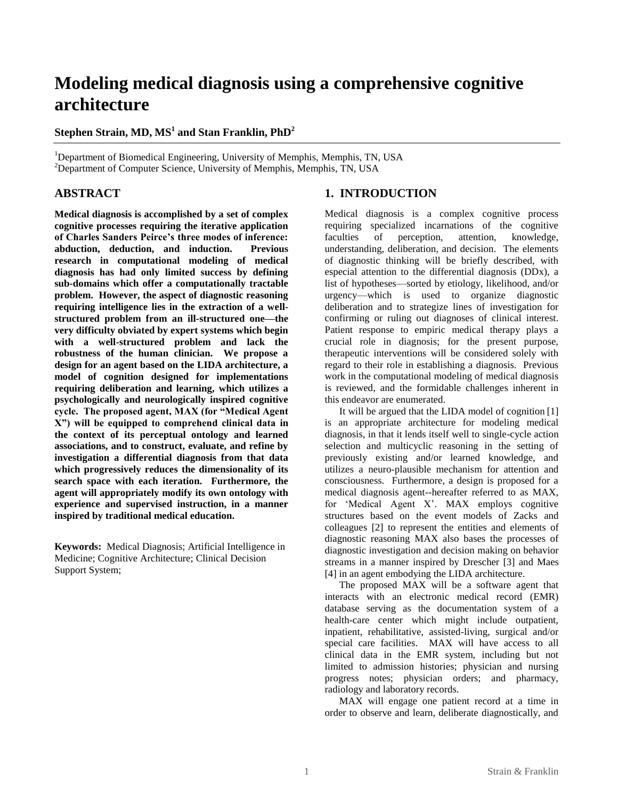# **Modeling medical diagnosis using a comprehensive cognitive architecture**

# **Stephen Strain, MD, MS<sup>1</sup> and Stan Franklin, PhD<sup>2</sup>**

<sup>1</sup>Department of Biomedical Engineering, University of Memphis, Memphis, TN, USA  $2$ Department of Computer Science, University of Memphis, Memphis, TN, USA

# **ABSTRACT**

**Medical diagnosis is accomplished by a set of complex cognitive processes requiring the iterative application of Charles Sanders Peirce's three modes of inference: abduction, deduction, and induction. Previous research in computational modeling of medical diagnosis has had only limited success by defining sub-domains which offer a computationally tractable problem. However, the aspect of diagnostic reasoning requiring intelligence lies in the extraction of a wellstructured problem from an ill-structured one—the very difficulty obviated by expert systems which begin with a well-structured problem and lack the robustness of the human clinician. We propose a design for an agent based on the LIDA architecture, a model of cognition designed for implementations requiring deliberation and learning, which utilizes a psychologically and neurologically inspired cognitive**  cycle. The proposed agent, MAX (for "Medical Agent **X‖) will be equipped to comprehend clinical data in the context of its perceptual ontology and learned associations, and to construct, evaluate, and refine by investigation a differential diagnosis from that data which progressively reduces the dimensionality of its search space with each iteration. Furthermore, the agent will appropriately modify its own ontology with experience and supervised instruction, in a manner inspired by traditional medical education.**

**Keywords:** Medical Diagnosis; Artificial Intelligence in Medicine; Cognitive Architecture; Clinical Decision Support System;

# **1. INTRODUCTION**

Medical diagnosis is a complex cognitive process requiring specialized incarnations of the cognitive faculties of perception, attention, knowledge, understanding, deliberation, and decision. The elements of diagnostic thinking will be briefly described, with especial attention to the differential diagnosis (DDx), a list of hypotheses—sorted by etiology, likelihood, and/or urgency—which is used to organize diagnostic deliberation and to strategize lines of investigation for confirming or ruling out diagnoses of clinical interest. Patient response to empiric medical therapy plays a crucial role in diagnosis; for the present purpose, therapeutic interventions will be considered solely with regard to their role in establishing a diagnosis. Previous work in the computational modeling of medical diagnosis is reviewed, and the formidable challenges inherent in this endeavor are enumerated.

It will be argued that the LIDA model of cognition [1] is an appropriate architecture for modeling medical diagnosis, in that it lends itself well to single-cycle action selection and multicyclic reasoning in the setting of previously existing and/or learned knowledge, and utilizes a neuro-plausible mechanism for attention and consciousness. Furthermore, a design is proposed for a medical diagnosis agent--hereafter referred to as MAX, for 'Medical Agent X'. MAX employs cognitive structures based on the event models of Zacks and colleagues [2] to represent the entities and elements of diagnostic reasoning MAX also bases the processes of diagnostic investigation and decision making on behavior streams in a manner inspired by Drescher [3] and Maes [4] in an agent embodying the LIDA architecture.

The proposed MAX will be a software agent that interacts with an electronic medical record (EMR) database serving as the documentation system of a health-care center which might include outpatient, inpatient, rehabilitative, assisted-living, surgical and/or special care facilities. MAX will have access to all clinical data in the EMR system, including but not limited to admission histories; physician and nursing progress notes; physician orders; and pharmacy, radiology and laboratory records.

MAX will engage one patient record at a time in order to observe and learn, deliberate diagnostically, and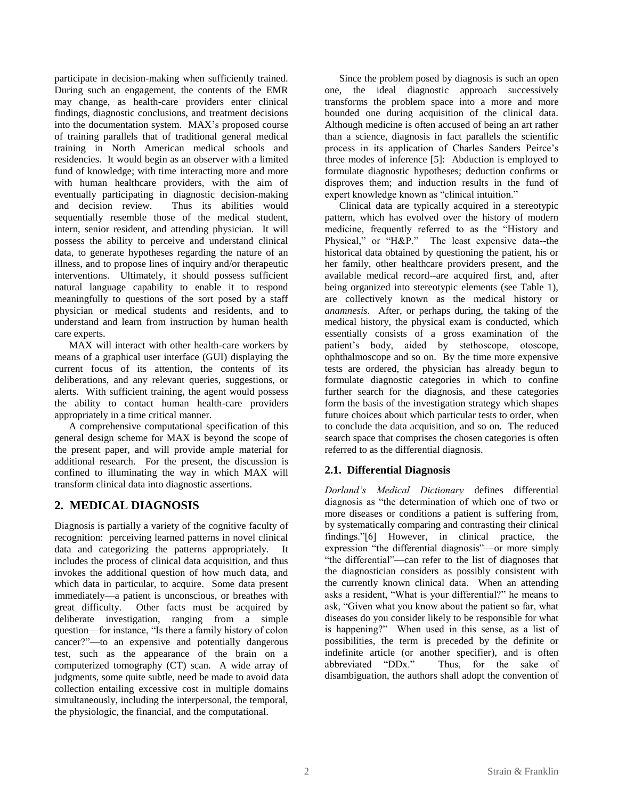participate in decision-making when sufficiently trained. During such an engagement, the contents of the EMR may change, as health-care providers enter clinical findings, diagnostic conclusions, and treatment decisions into the documentation system. MAX's proposed course of training parallels that of traditional general medical training in North American medical schools and residencies. It would begin as an observer with a limited fund of knowledge; with time interacting more and more with human healthcare providers, with the aim of eventually participating in diagnostic decision-making and decision review. Thus its abilities would sequentially resemble those of the medical student, intern, senior resident, and attending physician. It will possess the ability to perceive and understand clinical data, to generate hypotheses regarding the nature of an illness, and to propose lines of inquiry and/or therapeutic interventions. Ultimately, it should possess sufficient natural language capability to enable it to respond meaningfully to questions of the sort posed by a staff physician or medical students and residents, and to understand and learn from instruction by human health care experts.

MAX will interact with other health-care workers by means of a graphical user interface (GUI) displaying the current focus of its attention, the contents of its deliberations, and any relevant queries, suggestions, or alerts. With sufficient training, the agent would possess the ability to contact human health-care providers appropriately in a time critical manner.

A comprehensive computational specification of this general design scheme for MAX is beyond the scope of the present paper, and will provide ample material for additional research. For the present, the discussion is confined to illuminating the way in which MAX will transform clinical data into diagnostic assertions.

# **2. MEDICAL DIAGNOSIS**

Diagnosis is partially a variety of the cognitive faculty of recognition: perceiving learned patterns in novel clinical data and categorizing the patterns appropriately. It includes the process of clinical data acquisition, and thus invokes the additional question of how much data, and which data in particular, to acquire. Some data present immediately—a patient is unconscious, or breathes with great difficulty. Other facts must be acquired by deliberate investigation, ranging from a simple question—for instance, "Is there a family history of colon cancer?"—to an expensive and potentially dangerous test, such as the appearance of the brain on a computerized tomography (CT) scan. A wide array of judgments, some quite subtle, need be made to avoid data collection entailing excessive cost in multiple domains simultaneously, including the interpersonal, the temporal, the physiologic, the financial, and the computational.

Since the problem posed by diagnosis is such an open one, the ideal diagnostic approach successively transforms the problem space into a more and more bounded one during acquisition of the clinical data. Although medicine is often accused of being an art rather than a science, diagnosis in fact parallels the scientific process in its application of Charles Sanders Peirce's three modes of inference [5]: Abduction is employed to formulate diagnostic hypotheses; deduction confirms or disproves them; and induction results in the fund of expert knowledge known as "clinical intuition."

Clinical data are typically acquired in a stereotypic pattern, which has evolved over the history of modern medicine, frequently referred to as the "History and Physical," or "H&P." The least expensive data--the historical data obtained by questioning the patient, his or her family, other healthcare providers present, and the available medical record--are acquired first, and, after being organized into stereotypic elements (see Table 1), are collectively known as the medical history or *anamnesis*. After, or perhaps during, the taking of the medical history, the physical exam is conducted, which essentially consists of a gross examination of the patient's body, aided by stethoscope, otoscope, ophthalmoscope and so on. By the time more expensive tests are ordered, the physician has already begun to formulate diagnostic categories in which to confine further search for the diagnosis, and these categories form the basis of the investigation strategy which shapes future choices about which particular tests to order, when to conclude the data acquisition, and so on. The reduced search space that comprises the chosen categories is often referred to as the differential diagnosis.

## **2.1. Differential Diagnosis**

*Dorland's Medical Dictionary* defines differential diagnosis as "the determination of which one of two or more diseases or conditions a patient is suffering from, by systematically comparing and contrasting their clinical findings."[6] However, in clinical practice, the expression "the differential diagnosis"—or more simply "the differential"—can refer to the list of diagnoses that the diagnostician considers as possibly consistent with the currently known clinical data. When an attending asks a resident, "What is your differential?" he means to ask, "Given what you know about the patient so far, what diseases do you consider likely to be responsible for what is happening?" When used in this sense, as a list of possibilities, the term is preceded by the definite or indefinite article (or another specifier), and is often abbreviated "DDx." Thus, for the sake of disambiguation, the authors shall adopt the convention of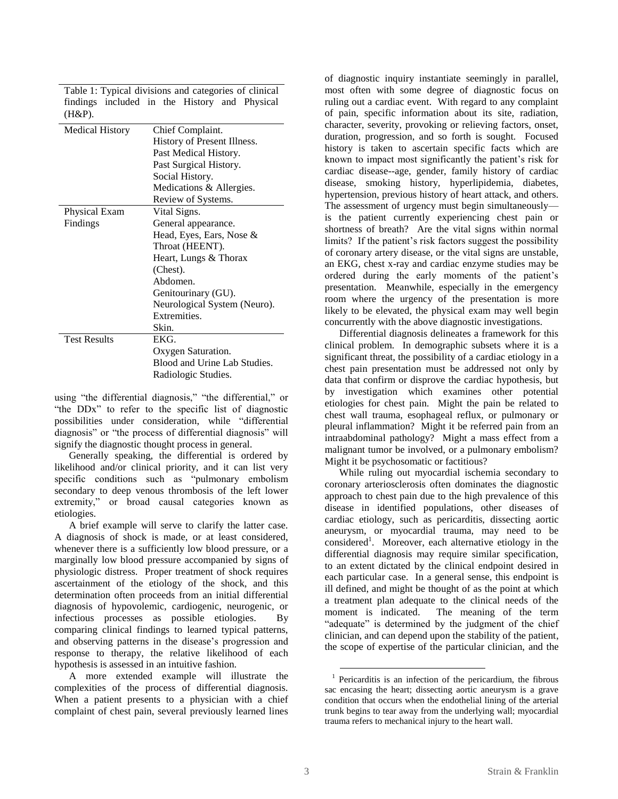| $(H&P)$ .              |                              |
|------------------------|------------------------------|
| <b>Medical History</b> | Chief Complaint.             |
|                        | History of Present Illness.  |
|                        | Past Medical History.        |
|                        | Past Surgical History.       |
|                        | Social History.              |
|                        | Medications & Allergies.     |
|                        | Review of Systems.           |
| Physical Exam          | Vital Signs.                 |
| Findings               | General appearance.          |
|                        | Head, Eyes, Ears, Nose &     |
|                        | Throat (HEENT).              |
|                        | Heart, Lungs & Thorax        |
|                        | (Chest).                     |
|                        | Abdomen.                     |
|                        | Genitourinary (GU).          |
|                        | Neurological System (Neuro). |
|                        | Extremities.                 |
|                        | Skin.                        |
| <b>Test Results</b>    | EKG.                         |
|                        | Oxygen Saturation.           |
|                        | Blood and Urine Lab Studies. |
|                        | Radiologic Studies.          |

Table 1: Typical divisions and categories of clinical findings included in the History and Physical

using "the differential diagnosis," "the differential," or "the DD<sub>x</sub>" to refer to the specific list of diagnostic possibilities under consideration, while "differential diagnosis" or "the process of differential diagnosis" will signify the diagnostic thought process in general.

Generally speaking, the differential is ordered by likelihood and/or clinical priority, and it can list very specific conditions such as "pulmonary embolism" secondary to deep venous thrombosis of the left lower extremity," or broad causal categories known as etiologies.

A brief example will serve to clarify the latter case. A diagnosis of shock is made, or at least considered, whenever there is a sufficiently low blood pressure, or a marginally low blood pressure accompanied by signs of physiologic distress. Proper treatment of shock requires ascertainment of the etiology of the shock, and this determination often proceeds from an initial differential diagnosis of hypovolemic, cardiogenic, neurogenic, or infectious processes as possible etiologies. By comparing clinical findings to learned typical patterns, and observing patterns in the disease's progression and response to therapy, the relative likelihood of each hypothesis is assessed in an intuitive fashion.

A more extended example will illustrate the complexities of the process of differential diagnosis. When a patient presents to a physician with a chief complaint of chest pain, several previously learned lines

of diagnostic inquiry instantiate seemingly in parallel, most often with some degree of diagnostic focus on ruling out a cardiac event. With regard to any complaint of pain, specific information about its site, radiation, character, severity, provoking or relieving factors, onset, duration, progression, and so forth is sought. Focused history is taken to ascertain specific facts which are known to impact most significantly the patient's risk for cardiac disease--age, gender, family history of cardiac disease, smoking history, hyperlipidemia, diabetes, hypertension, previous history of heart attack, and others. The assessment of urgency must begin simultaneously is the patient currently experiencing chest pain or shortness of breath? Are the vital signs within normal limits? If the patient's risk factors suggest the possibility of coronary artery disease, or the vital signs are unstable, an EKG, chest x-ray and cardiac enzyme studies may be ordered during the early moments of the patient's presentation. Meanwhile, especially in the emergency room where the urgency of the presentation is more likely to be elevated, the physical exam may well begin concurrently with the above diagnostic investigations.

Differential diagnosis delineates a framework for this clinical problem. In demographic subsets where it is a significant threat, the possibility of a cardiac etiology in a chest pain presentation must be addressed not only by data that confirm or disprove the cardiac hypothesis, but by investigation which examines other potential etiologies for chest pain. Might the pain be related to chest wall trauma, esophageal reflux, or pulmonary or pleural inflammation? Might it be referred pain from an intraabdominal pathology? Might a mass effect from a malignant tumor be involved, or a pulmonary embolism? Might it be psychosomatic or factitious?

While ruling out myocardial ischemia secondary to coronary arteriosclerosis often dominates the diagnostic approach to chest pain due to the high prevalence of this disease in identified populations, other diseases of cardiac etiology, such as pericarditis, dissecting aortic aneurysm, or myocardial trauma, may need to be considered<sup>1</sup>. Moreover, each alternative etiology in the differential diagnosis may require similar specification, to an extent dictated by the clinical endpoint desired in each particular case. In a general sense, this endpoint is ill defined, and might be thought of as the point at which a treatment plan adequate to the clinical needs of the moment is indicated. The meaning of the term "adequate" is determined by the judgment of the chief clinician, and can depend upon the stability of the patient, the scope of expertise of the particular clinician, and the

 $\overline{a}$ 

<sup>&</sup>lt;sup>1</sup> Pericarditis is an infection of the pericardium, the fibrous sac encasing the heart; dissecting aortic aneurysm is a grave condition that occurs when the endothelial lining of the arterial trunk begins to tear away from the underlying wall; myocardial trauma refers to mechanical injury to the heart wall.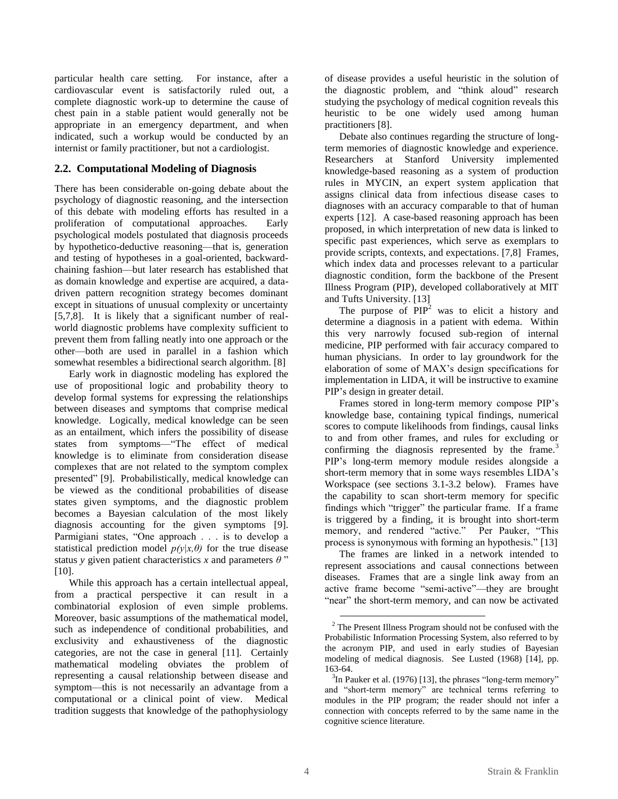particular health care setting. For instance, after a cardiovascular event is satisfactorily ruled out, a complete diagnostic work-up to determine the cause of chest pain in a stable patient would generally not be appropriate in an emergency department, and when indicated, such a workup would be conducted by an internist or family practitioner, but not a cardiologist.

## **2.2. Computational Modeling of Diagnosis**

There has been considerable on-going debate about the psychology of diagnostic reasoning, and the intersection of this debate with modeling efforts has resulted in a proliferation of computational approaches. Early psychological models postulated that diagnosis proceeds by hypothetico-deductive reasoning—that is, generation and testing of hypotheses in a goal-oriented, backwardchaining fashion—but later research has established that as domain knowledge and expertise are acquired, a datadriven pattern recognition strategy becomes dominant except in situations of unusual complexity or uncertainty [5,7,8]. It is likely that a significant number of realworld diagnostic problems have complexity sufficient to prevent them from falling neatly into one approach or the other—both are used in parallel in a fashion which somewhat resembles a bidirectional search algorithm. [8]

Early work in diagnostic modeling has explored the use of propositional logic and probability theory to develop formal systems for expressing the relationships between diseases and symptoms that comprise medical knowledge. Logically, medical knowledge can be seen as an entailment, which infers the possibility of disease states from symptoms—"The effect of medical knowledge is to eliminate from consideration disease complexes that are not related to the symptom complex presented" [9]. Probabilistically, medical knowledge can be viewed as the conditional probabilities of disease states given symptoms, and the diagnostic problem becomes a Bayesian calculation of the most likely diagnosis accounting for the given symptoms [9]. Parmigiani states, "One approach . . . is to develop a statistical prediction model  $p(y|x,\theta)$  for the true disease status *y* given patient characteristics *x* and parameters  $\theta$ " [10].

While this approach has a certain intellectual appeal, from a practical perspective it can result in a combinatorial explosion of even simple problems. Moreover, basic assumptions of the mathematical model, such as independence of conditional probabilities, and exclusivity and exhaustiveness of the diagnostic categories, are not the case in general [11]. Certainly mathematical modeling obviates the problem of representing a causal relationship between disease and symptom—this is not necessarily an advantage from a computational or a clinical point of view. Medical tradition suggests that knowledge of the pathophysiology

of disease provides a useful heuristic in the solution of the diagnostic problem, and "think aloud" research studying the psychology of medical cognition reveals this heuristic to be one widely used among human practitioners [8].

Debate also continues regarding the structure of longterm memories of diagnostic knowledge and experience. Researchers at Stanford University implemented knowledge-based reasoning as a system of production rules in MYCIN, an expert system application that assigns clinical data from infectious disease cases to diagnoses with an accuracy comparable to that of human experts [12]. A case-based reasoning approach has been proposed, in which interpretation of new data is linked to specific past experiences, which serve as exemplars to provide scripts, contexts, and expectations. [7,8] Frames, which index data and processes relevant to a particular diagnostic condition, form the backbone of the Present Illness Program (PIP), developed collaboratively at MIT and Tufts University. [13]

The purpose of  $PIP<sup>2</sup>$  was to elicit a history and determine a diagnosis in a patient with edema. Within this very narrowly focused sub-region of internal medicine, PIP performed with fair accuracy compared to human physicians. In order to lay groundwork for the elaboration of some of MAX's design specifications for implementation in LIDA, it will be instructive to examine PIP's design in greater detail.

Frames stored in long-term memory compose PIP's knowledge base, containing typical findings, numerical scores to compute likelihoods from findings, causal links to and from other frames, and rules for excluding or confirming the diagnosis represented by the frame. $3$ PIP's long-term memory module resides alongside a short-term memory that in some ways resembles LIDA's Workspace (see sections 3.1-3.2 below). Frames have the capability to scan short-term memory for specific findings which "trigger" the particular frame. If a frame is triggered by a finding, it is brought into short-term memory, and rendered "active." Per Pauker, "This process is synonymous with forming an hypothesis." [13]

The frames are linked in a network intended to represent associations and causal connections between diseases. Frames that are a single link away from an active frame become "semi-active"—they are brought "near" the short-term memory, and can now be activated

 $\overline{a}$ <sup>2</sup> The Present Illness Program should not be confused with the Probabilistic Information Processing System, also referred to by the acronym PIP, and used in early studies of Bayesian modeling of medical diagnosis. See Lusted (1968) [14], pp. 163-64.

 $3$ In Pauker et al. (1976) [13], the phrases "long-term memory" and "short-term memory" are technical terms referring to modules in the PIP program; the reader should not infer a connection with concepts referred to by the same name in the cognitive science literature.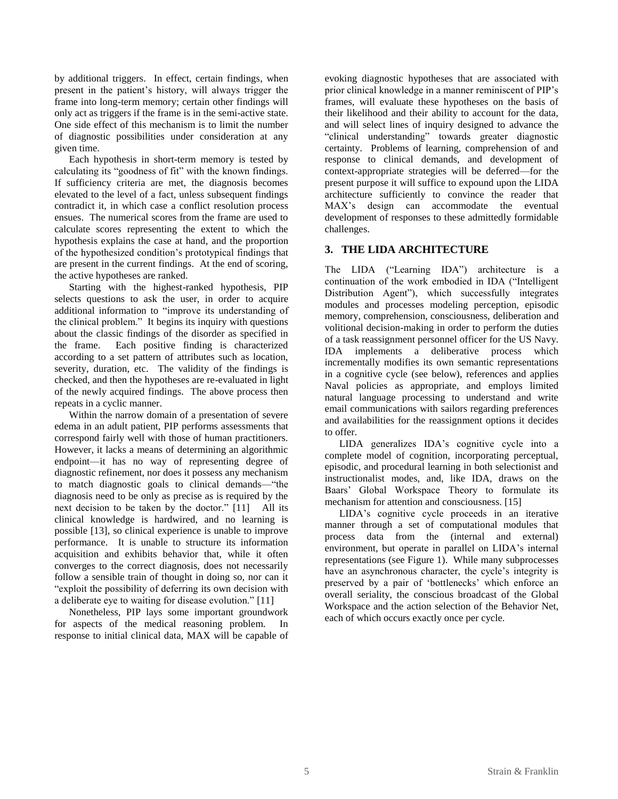by additional triggers. In effect, certain findings, when present in the patient's history, will always trigger the frame into long-term memory; certain other findings will only act as triggers if the frame is in the semi-active state. One side effect of this mechanism is to limit the number of diagnostic possibilities under consideration at any given time.

Each hypothesis in short-term memory is tested by calculating its "goodness of fit" with the known findings. If sufficiency criteria are met, the diagnosis becomes elevated to the level of a fact, unless subsequent findings contradict it, in which case a conflict resolution process ensues. The numerical scores from the frame are used to calculate scores representing the extent to which the hypothesis explains the case at hand, and the proportion of the hypothesized condition's prototypical findings that are present in the current findings. At the end of scoring, the active hypotheses are ranked.

Starting with the highest-ranked hypothesis, PIP selects questions to ask the user, in order to acquire additional information to "improve its understanding of the clinical problem." It begins its inquiry with questions about the classic findings of the disorder as specified in the frame. Each positive finding is characterized according to a set pattern of attributes such as location, severity, duration, etc. The validity of the findings is checked, and then the hypotheses are re-evaluated in light of the newly acquired findings. The above process then repeats in a cyclic manner.

Within the narrow domain of a presentation of severe edema in an adult patient, PIP performs assessments that correspond fairly well with those of human practitioners. However, it lacks a means of determining an algorithmic endpoint—it has no way of representing degree of diagnostic refinement, nor does it possess any mechanism to match diagnostic goals to clinical demands—"the diagnosis need to be only as precise as is required by the next decision to be taken by the doctor."  $[11]$  All its clinical knowledge is hardwired, and no learning is possible [13], so clinical experience is unable to improve performance. It is unable to structure its information acquisition and exhibits behavior that, while it often converges to the correct diagnosis, does not necessarily follow a sensible train of thought in doing so, nor can it "exploit the possibility of deferring its own decision with a deliberate eye to waiting for disease evolution." [11]

Nonetheless, PIP lays some important groundwork for aspects of the medical reasoning problem. In response to initial clinical data, MAX will be capable of evoking diagnostic hypotheses that are associated with prior clinical knowledge in a manner reminiscent of PIP's frames, will evaluate these hypotheses on the basis of their likelihood and their ability to account for the data, and will select lines of inquiry designed to advance the "clinical understanding" towards greater diagnostic certainty. Problems of learning, comprehension of and response to clinical demands, and development of context-appropriate strategies will be deferred—for the present purpose it will suffice to expound upon the LIDA architecture sufficiently to convince the reader that MAX's design can accommodate the eventual development of responses to these admittedly formidable challenges.

## **3. THE LIDA ARCHITECTURE**

The LIDA ("Learning IDA") architecture is a continuation of the work embodied in IDA ("Intelligent Distribution Agent"), which successfully integrates modules and processes modeling perception, episodic memory, comprehension, consciousness, deliberation and volitional decision-making in order to perform the duties of a task reassignment personnel officer for the US Navy. IDA implements a deliberative process which incrementally modifies its own semantic representations in a cognitive cycle (see below), references and applies Naval policies as appropriate, and employs limited natural language processing to understand and write email communications with sailors regarding preferences and availabilities for the reassignment options it decides to offer.

LIDA generalizes IDA's cognitive cycle into a complete model of cognition, incorporating perceptual, episodic, and procedural learning in both selectionist and instructionalist modes, and, like IDA, draws on the Baars' Global Workspace Theory to formulate its mechanism for attention and consciousness. [15]

LIDA's cognitive cycle proceeds in an iterative manner through a set of computational modules that process data from the (internal and external) environment, but operate in parallel on LIDA's internal representations (see Figure 1). While many subprocesses have an asynchronous character, the cycle's integrity is preserved by a pair of 'bottlenecks' which enforce an overall seriality, the conscious broadcast of the Global Workspace and the action selection of the Behavior Net, each of which occurs exactly once per cycle.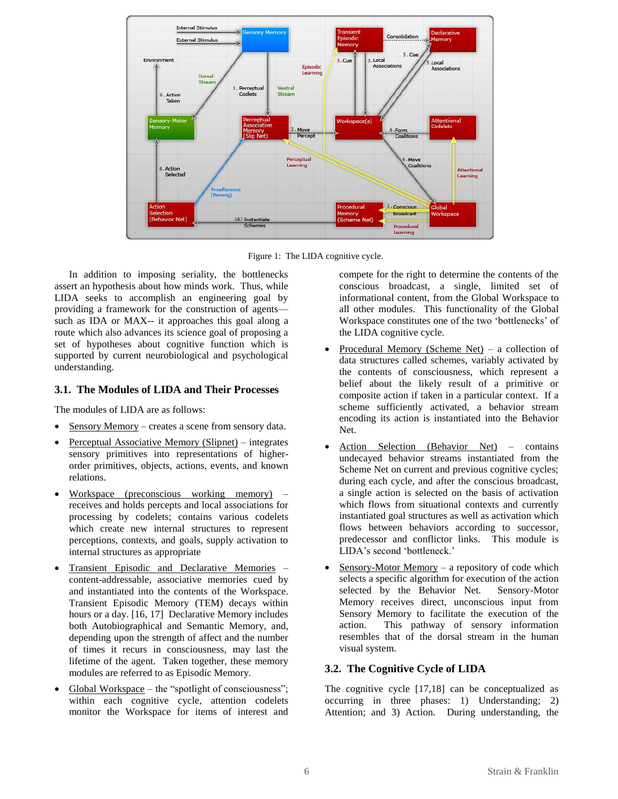

Figure 1: The LIDA cognitive cycle.

In addition to imposing seriality, the bottlenecks assert an hypothesis about how minds work. Thus, while LIDA seeks to accomplish an engineering goal by providing a framework for the construction of agents such as IDA or MAX-- it approaches this goal along a route which also advances its science goal of proposing a set of hypotheses about cognitive function which is supported by current neurobiological and psychological understanding.

#### **3.1. The Modules of LIDA and Their Processes**

The modules of LIDA are as follows:

- Sensory Memory creates a scene from sensory data.
- Perceptual Associative Memory (Slipnet) integrates sensory primitives into representations of higherorder primitives, objects, actions, events, and known relations.
- Workspace (preconscious working memory) receives and holds percepts and local associations for processing by codelets; contains various codelets which create new internal structures to represent perceptions, contexts, and goals, supply activation to internal structures as appropriate
- Transient Episodic and Declarative Memories content-addressable, associative memories cued by and instantiated into the contents of the Workspace. Transient Episodic Memory (TEM) decays within hours or a day. [16, 17] Declarative Memory includes both Autobiographical and Semantic Memory, and, depending upon the strength of affect and the number of times it recurs in consciousness, may last the lifetime of the agent. Taken together, these memory modules are referred to as Episodic Memory.
- Global Workspace the "spotlight of consciousness"; within each cognitive cycle, attention codelets monitor the Workspace for items of interest and

compete for the right to determine the contents of the conscious broadcast, a single, limited set of informational content, from the Global Workspace to all other modules. This functionality of the Global Workspace constitutes one of the two 'bottlenecks' of the LIDA cognitive cycle.

- Procedural Memory (Scheme Net) a collection of data structures called schemes, variably activated by the contents of consciousness, which represent a belief about the likely result of a primitive or composite action if taken in a particular context. If a scheme sufficiently activated, a behavior stream encoding its action is instantiated into the Behavior Net.
- Action Selection (Behavior Net) contains undecayed behavior streams instantiated from the Scheme Net on current and previous cognitive cycles; during each cycle, and after the conscious broadcast, a single action is selected on the basis of activation which flows from situational contexts and currently instantiated goal structures as well as activation which flows between behaviors according to successor, predecessor and conflictor links. This module is LIDA's second 'bottleneck.'
- Sensory-Motor Memory a repository of code which selects a specific algorithm for execution of the action selected by the Behavior Net. Sensory-Motor Memory receives direct, unconscious input from Sensory Memory to facilitate the execution of the action. This pathway of sensory information resembles that of the dorsal stream in the human visual system.

#### **3.2. The Cognitive Cycle of LIDA**

The cognitive cycle [17,18] can be conceptualized as occurring in three phases: 1) Understanding; 2) Attention; and 3) Action. During understanding, the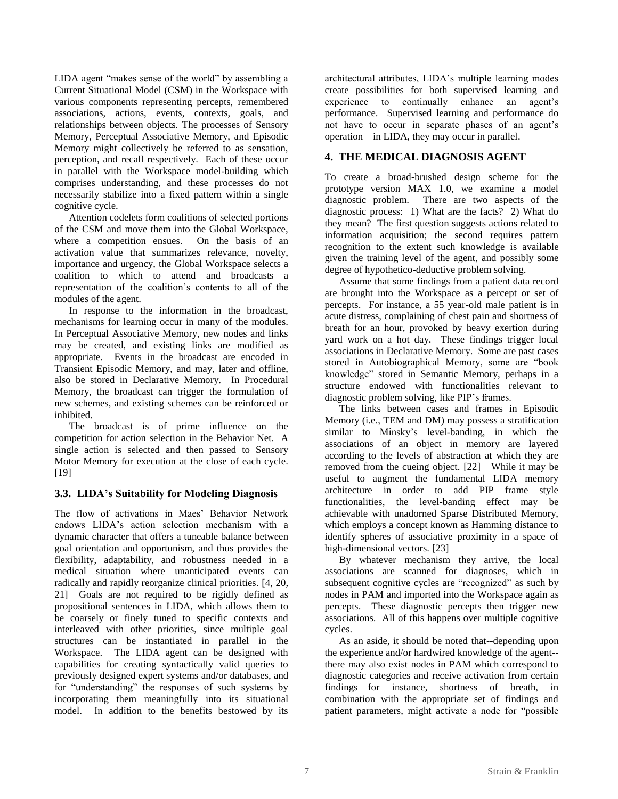LIDA agent "makes sense of the world" by assembling a Current Situational Model (CSM) in the Workspace with various components representing percepts, remembered associations, actions, events, contexts, goals, and relationships between objects. The processes of Sensory Memory, Perceptual Associative Memory, and Episodic Memory might collectively be referred to as sensation, perception, and recall respectively. Each of these occur in parallel with the Workspace model-building which comprises understanding, and these processes do not necessarily stabilize into a fixed pattern within a single cognitive cycle.

Attention codelets form coalitions of selected portions of the CSM and move them into the Global Workspace, where a competition ensues. On the basis of an activation value that summarizes relevance, novelty, importance and urgency, the Global Workspace selects a coalition to which to attend and broadcasts a representation of the coalition's contents to all of the modules of the agent.

In response to the information in the broadcast, mechanisms for learning occur in many of the modules. In Perceptual Associative Memory, new nodes and links may be created, and existing links are modified as appropriate. Events in the broadcast are encoded in Transient Episodic Memory, and may, later and offline, also be stored in Declarative Memory. In Procedural Memory, the broadcast can trigger the formulation of new schemes, and existing schemes can be reinforced or inhibited.

The broadcast is of prime influence on the competition for action selection in the Behavior Net. A single action is selected and then passed to Sensory Motor Memory for execution at the close of each cycle. [19]

#### **3.3. LIDA's Suitability for Modeling Diagnosis**

The flow of activations in Maes' Behavior Network endows LIDA's action selection mechanism with a dynamic character that offers a tuneable balance between goal orientation and opportunism, and thus provides the flexibility, adaptability, and robustness needed in a medical situation where unanticipated events can radically and rapidly reorganize clinical priorities. [4, 20, 21] Goals are not required to be rigidly defined as propositional sentences in LIDA, which allows them to be coarsely or finely tuned to specific contexts and interleaved with other priorities, since multiple goal structures can be instantiated in parallel in the Workspace. The LIDA agent can be designed with capabilities for creating syntactically valid queries to previously designed expert systems and/or databases, and for "understanding" the responses of such systems by incorporating them meaningfully into its situational model. In addition to the benefits bestowed by its

architectural attributes, LIDA's multiple learning modes create possibilities for both supervised learning and experience to continually enhance an agent's performance. Supervised learning and performance do not have to occur in separate phases of an agent's operation—in LIDA, they may occur in parallel.

## **4. THE MEDICAL DIAGNOSIS AGENT**

To create a broad-brushed design scheme for the prototype version MAX 1.0, we examine a model diagnostic problem. There are two aspects of the diagnostic process: 1) What are the facts? 2) What do they mean? The first question suggests actions related to information acquisition; the second requires pattern recognition to the extent such knowledge is available given the training level of the agent, and possibly some degree of hypothetico-deductive problem solving.

Assume that some findings from a patient data record are brought into the Workspace as a percept or set of percepts. For instance, a 55 year-old male patient is in acute distress, complaining of chest pain and shortness of breath for an hour, provoked by heavy exertion during yard work on a hot day. These findings trigger local associations in Declarative Memory. Some are past cases stored in Autobiographical Memory, some are "book knowledge" stored in Semantic Memory, perhaps in a structure endowed with functionalities relevant to diagnostic problem solving, like PIP's frames.

The links between cases and frames in Episodic Memory (i.e., TEM and DM) may possess a stratification similar to Minsky's level-banding, in which the associations of an object in memory are layered according to the levels of abstraction at which they are removed from the cueing object. [22] While it may be useful to augment the fundamental LIDA memory architecture in order to add PIP frame style functionalities, the level-banding effect may be achievable with unadorned Sparse Distributed Memory, which employs a concept known as Hamming distance to identify spheres of associative proximity in a space of high-dimensional vectors. [23]

By whatever mechanism they arrive, the local associations are scanned for diagnoses, which in subsequent cognitive cycles are "recognized" as such by nodes in PAM and imported into the Workspace again as percepts. These diagnostic percepts then trigger new associations. All of this happens over multiple cognitive cycles.

As an aside, it should be noted that--depending upon the experience and/or hardwired knowledge of the agent- there may also exist nodes in PAM which correspond to diagnostic categories and receive activation from certain findings—for instance, shortness of breath, in combination with the appropriate set of findings and patient parameters, might activate a node for "possible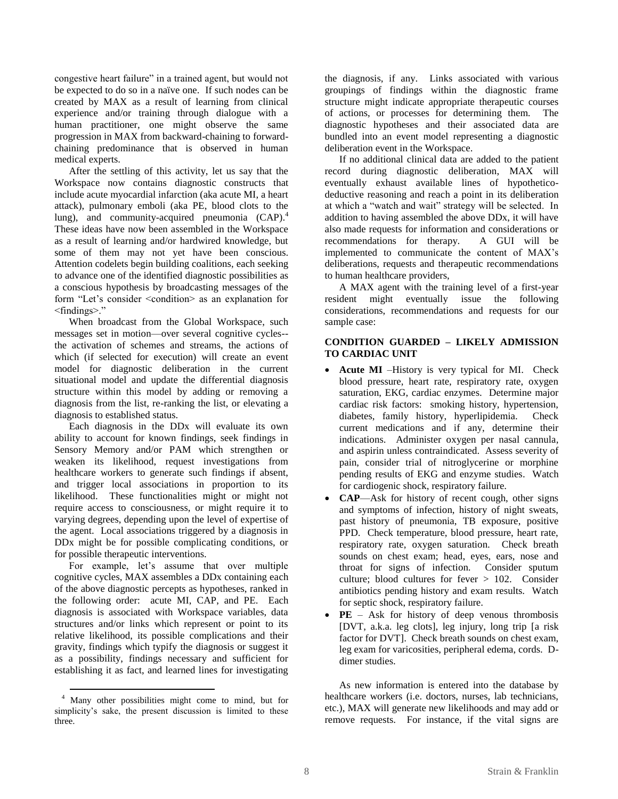congestive heart failure" in a trained agent, but would not be expected to do so in a naïve one. If such nodes can be created by MAX as a result of learning from clinical experience and/or training through dialogue with a human practitioner, one might observe the same progression in MAX from backward-chaining to forwardchaining predominance that is observed in human medical experts.

After the settling of this activity, let us say that the Workspace now contains diagnostic constructs that include acute myocardial infarction (aka acute MI, a heart attack), pulmonary emboli (aka PE, blood clots to the lung), and community-acquired pneumonia (CAP). 4 These ideas have now been assembled in the Workspace as a result of learning and/or hardwired knowledge, but some of them may not yet have been conscious. Attention codelets begin building coalitions, each seeking to advance one of the identified diagnostic possibilities as a conscious hypothesis by broadcasting messages of the form "Let's consider <condition> as an explanation for <findings>.‖

When broadcast from the Global Workspace, such messages set in motion—over several cognitive cycles- the activation of schemes and streams, the actions of which (if selected for execution) will create an event model for diagnostic deliberation in the current situational model and update the differential diagnosis structure within this model by adding or removing a diagnosis from the list, re-ranking the list, or elevating a diagnosis to established status.

Each diagnosis in the DDx will evaluate its own ability to account for known findings, seek findings in Sensory Memory and/or PAM which strengthen or weaken its likelihood, request investigations from healthcare workers to generate such findings if absent, and trigger local associations in proportion to its likelihood. These functionalities might or might not require access to consciousness, or might require it to varying degrees, depending upon the level of expertise of the agent. Local associations triggered by a diagnosis in DDx might be for possible complicating conditions, or for possible therapeutic interventions.

For example, let's assume that over multiple cognitive cycles, MAX assembles a DDx containing each of the above diagnostic percepts as hypotheses, ranked in the following order: acute MI, CAP, and PE. Each diagnosis is associated with Workspace variables, data structures and/or links which represent or point to its relative likelihood, its possible complications and their gravity, findings which typify the diagnosis or suggest it as a possibility, findings necessary and sufficient for establishing it as fact, and learned lines for investigating

 $\overline{a}$ 

the diagnosis, if any. Links associated with various groupings of findings within the diagnostic frame structure might indicate appropriate therapeutic courses of actions, or processes for determining them. The diagnostic hypotheses and their associated data are bundled into an event model representing a diagnostic deliberation event in the Workspace.

If no additional clinical data are added to the patient record during diagnostic deliberation, MAX will eventually exhaust available lines of hypotheticodeductive reasoning and reach a point in its deliberation at which a "watch and wait" strategy will be selected. In addition to having assembled the above DDx, it will have also made requests for information and considerations or recommendations for therapy. A GUI will be implemented to communicate the content of MAX's deliberations, requests and therapeutic recommendations to human healthcare providers,

A MAX agent with the training level of a first-year resident might eventually issue the following considerations, recommendations and requests for our sample case:

## **CONDITION GUARDED – LIKELY ADMISSION TO CARDIAC UNIT**

- **Acute MI** –History is very typical for MI. Check blood pressure, heart rate, respiratory rate, oxygen saturation, EKG, cardiac enzymes. Determine major cardiac risk factors: smoking history, hypertension, diabetes, family history, hyperlipidemia. Check current medications and if any, determine their indications. Administer oxygen per nasal cannula, and aspirin unless contraindicated. Assess severity of pain, consider trial of nitroglycerine or morphine pending results of EKG and enzyme studies. Watch for cardiogenic shock, respiratory failure.
- **CAP**—Ask for history of recent cough, other signs and symptoms of infection, history of night sweats, past history of pneumonia, TB exposure, positive PPD. Check temperature, blood pressure, heart rate, respiratory rate, oxygen saturation. Check breath sounds on chest exam; head, eyes, ears, nose and throat for signs of infection. Consider sputum culture; blood cultures for fever > 102. Consider antibiotics pending history and exam results. Watch for septic shock, respiratory failure.
- **PE** Ask for history of deep venous thrombosis [DVT, a.k.a. leg clots], leg injury, long trip [a risk factor for DVT]. Check breath sounds on chest exam, leg exam for varicosities, peripheral edema, cords. Ddimer studies.

As new information is entered into the database by healthcare workers (i.e. doctors, nurses, lab technicians, etc.), MAX will generate new likelihoods and may add or remove requests. For instance, if the vital signs are

<sup>4</sup> Many other possibilities might come to mind, but for simplicity's sake, the present discussion is limited to these three.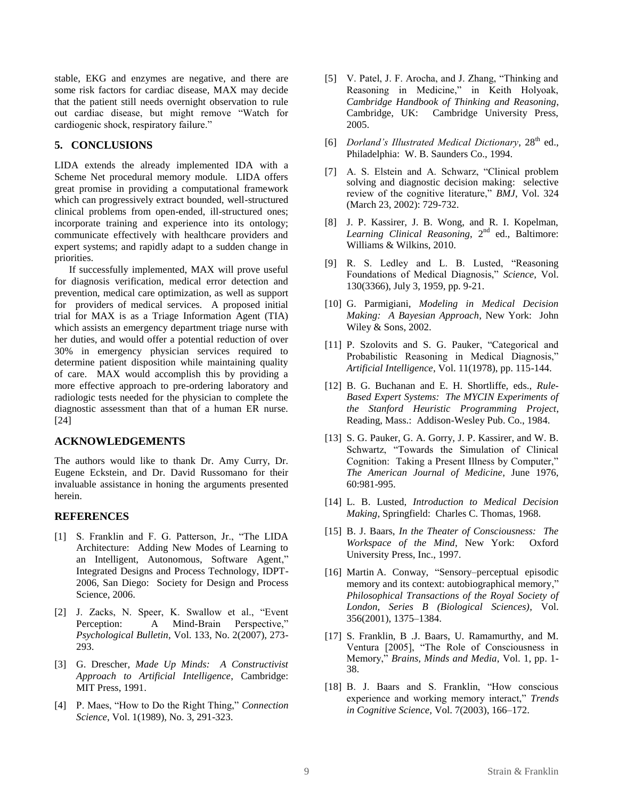stable, EKG and enzymes are negative, and there are some risk factors for cardiac disease, MAX may decide that the patient still needs overnight observation to rule out cardiac disease, but might remove "Watch for cardiogenic shock, respiratory failure."

#### **5. CONCLUSIONS**

LIDA extends the already implemented IDA with a Scheme Net procedural memory module. LIDA offers great promise in providing a computational framework which can progressively extract bounded, well-structured clinical problems from open-ended, ill-structured ones; incorporate training and experience into its ontology; communicate effectively with healthcare providers and expert systems; and rapidly adapt to a sudden change in priorities.

If successfully implemented, MAX will prove useful for diagnosis verification, medical error detection and prevention, medical care optimization, as well as support for providers of medical services. A proposed initial trial for MAX is as a Triage Information Agent (TIA) which assists an emergency department triage nurse with her duties, and would offer a potential reduction of over 30% in emergency physician services required to determine patient disposition while maintaining quality of care. MAX would accomplish this by providing a more effective approach to pre-ordering laboratory and radiologic tests needed for the physician to complete the diagnostic assessment than that of a human ER nurse. [24]

#### **ACKNOWLEDGEMENTS**

The authors would like to thank Dr. Amy Curry, Dr. Eugene Eckstein, and Dr. David Russomano for their invaluable assistance in honing the arguments presented herein.

#### **REFERENCES**

- [1] S. Franklin and F. G. Patterson, Jr., "The LIDA Architecture: Adding New Modes of Learning to an Intelligent, Autonomous, Software Agent," Integrated Designs and Process Technology, IDPT-2006, San Diego: Society for Design and Process Science, 2006.
- [2] J. Zacks, N. Speer, K. Swallow et al., "Event Perception: A Mind-Brain Perspective," *Psychological Bulletin*, Vol. 133, No. 2(2007), 273- 293.
- [3] G. Drescher, *Made Up Minds: A Constructivist Approach to Artificial Intelligence*, Cambridge: MIT Press, 1991.
- [4] P. Maes, "How to Do the Right Thing," *Connection Science*, Vol. 1(1989), No. 3, 291-323.
- [5] V. Patel, J. F. Arocha, and J. Zhang, "Thinking and Reasoning in Medicine," in Keith Holyoak, *Cambridge Handbook of Thinking and Reasoning*, Cambridge, UK: Cambridge University Press, 2005.
- [6] *Dorland's Illustrated Medical Dictionary*, 28<sup>th</sup> ed., Philadelphia: W. B. Saunders Co., 1994.
- [7] A. S. Elstein and A. Schwarz, "Clinical problem solving and diagnostic decision making: selective review of the cognitive literature," *BMJ*, Vol. 324 (March 23, 2002): 729-732.
- [8] J. P. Kassirer, J. B. Wong, and R. I. Kopelman, Learning Clinical Reasoning, 2<sup>nd</sup> ed., Baltimore: Williams & Wilkins, 2010.
- [9] R. S. Ledley and L. B. Lusted, "Reasoning Foundations of Medical Diagnosis," *Science*, Vol. 130(3366), July 3, 1959, pp. 9-21.
- [10] G. Parmigiani, *Modeling in Medical Decision Making: A Bayesian Approach*, New York: John Wiley & Sons, 2002.
- [11] P. Szolovits and S. G. Pauker, "Categorical and Probabilistic Reasoning in Medical Diagnosis," *Artificial Intelligence*, Vol. 11(1978), pp. 115-144.
- [12] B. G. Buchanan and E. H. Shortliffe, eds., *Rule-Based Expert Systems: The MYCIN Experiments of the Stanford Heuristic Programming Project*, Reading, Mass.: Addison-Wesley Pub. Co., 1984.
- [13] S. G. Pauker, G. A. Gorry, J. P. Kassirer, and W. B. Schwartz, "Towards the Simulation of Clinical Cognition: Taking a Present Illness by Computer," *The American Journal of Medicine*, June 1976, 60:981-995.
- [14] L. B. Lusted, *Introduction to Medical Decision Making*, Springfield: Charles C. Thomas, 1968.
- [15] B. J. Baars, *In the Theater of Consciousness: The Workspace of the Mind*, New York: Oxford University Press, Inc., 1997.
- [16] Martin A. Conway, "Sensory–perceptual episodic memory and its context: autobiographical memory," *Philosophical Transactions of the Royal Society of London, Series B (Biological Sciences)*, Vol. 356(2001), 1375–1384.
- [17] S. Franklin, B .J. Baars, U. Ramamurthy, and M. Ventura [2005], "The Role of Consciousness in Memory," *Brains, Minds and Media*, Vol. 1, pp. 1-38.
- [18] B. J. Baars and S. Franklin, "How conscious experience and working memory interact," Trends *in Cognitive Science,* Vol. 7(2003), 166–172.